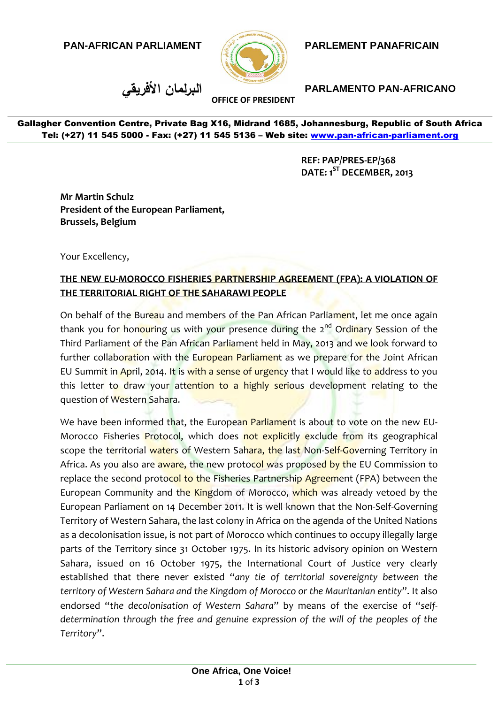**PAN-AFRICAN PARLIAMENT**



## **PARLEMENT PANAFRICAIN**

**األفريقي البرلمان PARLAMENTO PAN-AFRICANO**

Gallagher Convention Centre, Private Bag X16, Midrand 1685, Johannesburg, Republic of South Africa Tel: (+27) 11 545 5000 - Fax: (+27) 11 545 5136 - Web site: www.pan-african-parliament.org

**OFFICE OF PRESIDENT**

**REF: PAP/PRES-EP/368 DATE: 1ST DECEMBER, 2013**

**Mr Martin Schulz President of the European Parliament, Brussels, Belgium**

Your Excellency,

## **THE NEW EU-MOROCCO FISHERIES PARTNERSHIP AGREEMENT (FPA): A VIOLATION OF THE TERRITORIAL RIGHT OF THE SAHARAWI PEOPLE**

On behalf of the Bureau and members of the Pan African Parliament, let me once again thank you for hon<mark>ouring us with your presence during t</mark>he 2<sup>nd</sup> Ordinary Session of the Third Parliament of the Pan African Parliament held in May, 2013 and we look forward to further collaboration with the European Parliament as we prepare for the Joint African EU Summit in April, 2014. It is with a sense of urgency that I would like to address to you this letter to draw your attention to a highly serious development relating to the question of Western Sahara.

We have been informed that, the European Parliament is about to vote on the new EU-Morocco Fisheries Protocol, which does not explicitly exclude from its geographical scope the territorial waters of Western Sahara, the last Non-Self-Governing Territory in Africa. As you also are aware, the new protocol was proposed by the EU Commission to replace the second protocol to the Fisheries Partnership Agreement (FPA) between the European Community and the Kingdom of Morocco, which was already vetoed by the European Parliament on 14 December 2011. It is well known that the Non-Self-Governing Territory of Western Sahara, the last colony in Africa on the agenda of the United Nations as a decolonisation issue, is not part of Morocco which continues to occupy illegally large parts of the Territory since 31 October 1975. In its historic advisory opinion on Western Sahara, issued on 16 October 1975, the International Court of Justice very clearly established that there never existed "*any tie of territorial sovereignty between the territory of Western Sahara and the Kingdom of Morocco or the Mauritanian entity*". It also endorsed "*the decolonisation of Western Sahara*" by means of the exercise of "*selfdetermination through the free and genuine expression of the will of the peoples of the Territory*".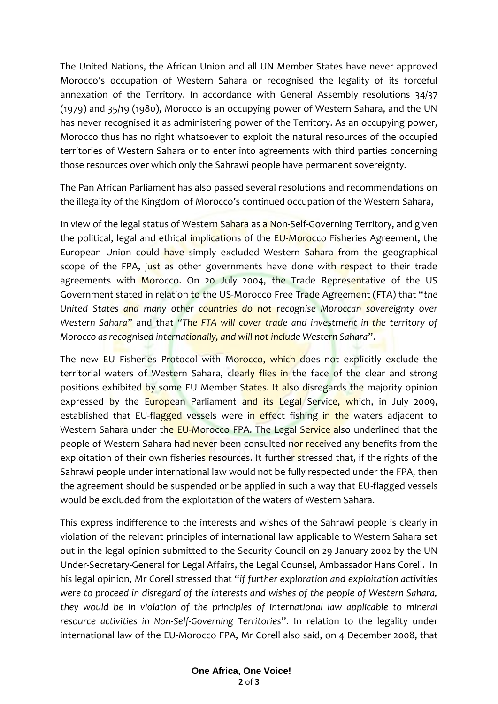The United Nations, the African Union and all UN Member States have never approved Morocco's occupation of Western Sahara or recognised the legality of its forceful annexation of the Territory. In accordance with General Assembly resolutions 34/37 (1979) and 35/19 (1980), Morocco is an occupying power of Western Sahara, and the UN has never recognised it as administering power of the Territory. As an occupying power, Morocco thus has no right whatsoever to exploit the natural resources of the occupied territories of Western Sahara or to enter into agreements with third parties concerning those resources over which only the Sahrawi people have permanent sovereignty.

The Pan African Parliament has also passed several resolutions and recommendations on the illegality of the Kingdom of Morocco's continued occupation of the Western Sahara,

In view of the legal status of Western Sahara as a Non-Self-Governing Territory, and given the political, legal and ethical implications of the EU-Morocco Fisheries Agreement, the European Union could have simply excluded Western Sahara from the geographical scope of the FPA, just as other governments have done with respect to their trade agreements with Morocco. On 20 July 2004, the Trade Representative of the US Government stated in relation to the US-Morocco Free Trade Agreement (FTA) that "*the United States and many other countries do not recognise Moroccan sovereignty over Western Sahara"* and that *"The FTA will cover trade and investment in the territory of Morocco as recognised internationally, and will not include Western Sahara*".

The new EU Fisheries Protocol with Morocco, which does not explicitly exclude the territorial waters of Western Sahara, clearly flies in the face of the clear and strong positions exhibited by some EU Member States. It also disregards the majority opinion expressed by the European Parliament and its Legal Service, which, in July 2009, established that EU-flagged vessels were in effect fishing in the waters adjacent to Western Sahara under the EU-Morocco FPA. The Legal Service also underlined that the people of Western Sahara had never been consulted nor received any benefits from the exploitation of their own fisheries resources. It further stressed that, if the rights of the Sahrawi people under international law would not be fully respected under the FPA, then the agreement should be suspended or be applied in such a way that EU-flagged vessels would be excluded from the exploitation of the waters of Western Sahara.

This express indifference to the interests and wishes of the Sahrawi people is clearly in violation of the relevant principles of international law applicable to Western Sahara set out in the legal opinion submitted to the Security Council on 29 January 2002 by the UN Under-Secretary-General for Legal Affairs, the Legal Counsel, Ambassador Hans Corell. In his legal opinion, Mr Corell stressed that "*if further exploration and exploitation activities were to proceed in disregard of the interests and wishes of the people of Western Sahara, they would be in violation of the principles of international law applicable to mineral resource activities in Non-Self-Governing Territories*". In relation to the legality under international law of the EU-Morocco FPA, Mr Corell also said, on 4 December 2008, that